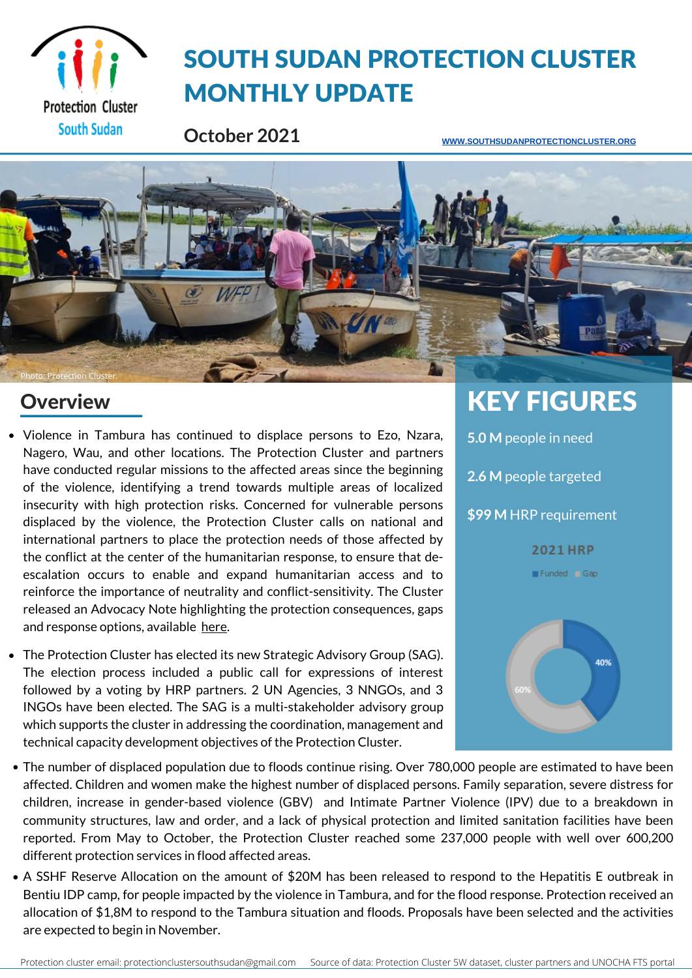

# SOUTH SUDAN PROTECTION CLUSTER MONTHLY UPDATE

**October 2021**

**[WWW.SOUTHSUDANPROTECTIONCLUSTER.ORG](http://www.southsudanprotectioncluster.org/)**



### **Overview**

- Violence in Tambura has continued to displace persons to Ezo, Nzara, Nagero, Wau, and other locations. The Protection Cluster and partners have conducted regular missions to the affected areas since the beginning of the violence, identifying a trend towards multiple areas of localized insecurity with high protection risks. Concerned for vulnerable persons displaced by the violence, the Protection Cluster calls on national and international partners to place the protection needs of those affected by the conflict at the center of the humanitarian response, to ensure that deescalation occurs to enable and expand humanitarian access and to reinforce the importance of neutrality and conflict-sensitivity. The Cluster released an Advocacy Note highlighting the protection consequences, gaps and response options, available [here.](https://eur02.safelinks.protection.outlook.com/?url=https%3A%2F%2Fdata.globalprotectioncluster.org%2Fen%2Fdocuments%2Fdetails%2F550&data=04%7C01%7Csothe%40unhcr.org%7C8e7b2f76d7204e68b2fb08d99a012555%7Ce5c37981666441348a0c6543d2af80be%7C0%7C0%7C637710152831444846%7CUnknown%7CTWFpbGZsb3d8eyJWIjoiMC4wLjAwMDAiLCJQIjoiV2luMzIiLCJBTiI6Ik1haWwiLCJXVCI6Mn0%3D%7C3000&sdata=7Z0eeF%2BahaqhNTKMSfSl7h0sDKrc4DwYiJvqaFnfgBM%3D&reserved=0)
- The Protection Cluster has elected its new Strategic Advisory Group (SAG). The election process included a public call for expressions of interest followed by a voting by HRP partners. 2 UN Agencies, 3 NNGOs, and 3 INGOs have been elected. The SAG is a multi-stakeholder advisory group which supports the cluster in addressing the coordination, management and technical capacity development objectives of the Protection Cluster.



- The number of displaced population due to floods continue rising. Over 780,000 people are estimated to have been affected. Children and women make the highest number of displaced persons. Family separation, severe distress for children, increase in gender-based violence (GBV) and Intimate Partner Violence (IPV) due to a breakdown in community structures, law and order, and a lack of physical protection and limited sanitation facilities have been reported. From May to October, the Protection Cluster reached some 237,000 people with well over 600,200 different protection services in flood affected areas.
- A SSHF Reserve Allocation on the amount of \$20M has been released to respond to the Hepatitis E outbreak in Bentiu IDP camp, for people impacted by the violence in Tambura, and for the flood response. Protection received an allocation of\$1,8M to respond to the Tambura situation and floods. Proposals have been selected and the activities are expected to begin in November.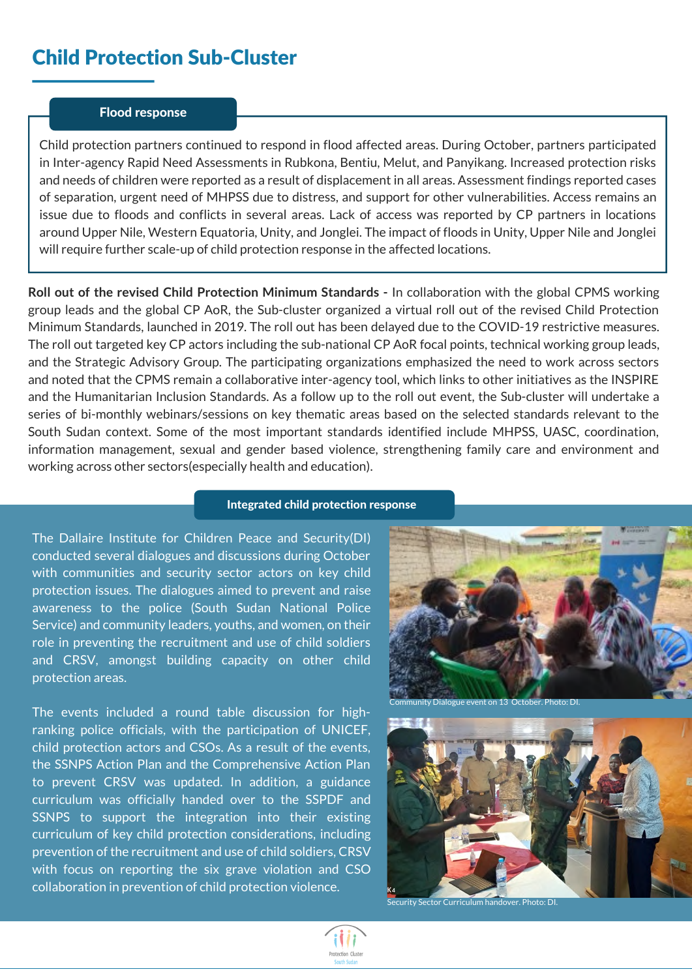### Child Protection Sub-Cluster

#### Flood response

Child protection partners continued to respond in flood affected areas. During October, partners participated in Inter-agency Rapid Need Assessments in Rubkona, Bentiu, Melut, and Panyikang. Increased protection risks and needs of children were reported as a result of displacement in all areas. Assessment findings reported cases of separation, urgent need of MHPSS due to distress, and support for other vulnerabilities. Access remains an issue due to floods and conflicts in several areas. Lack of access was reported by CP partners in locations around Upper Nile, Western Equatoria, Unity, and Jonglei. The impact of floods in Unity, Upper Nile and Jonglei will require further scale-up of child protection response in the affected locations.

**Roll out of the revised Child Protection Minimum Standards -** In collaboration with the global CPMS working group leads and the global CP AoR, the Sub-cluster organized a virtual roll out of the revised Child Protection Minimum Standards, launched in 2019. The roll out has been delayed due to the COVID-19 restrictive measures. The roll out targeted key CP actors including the sub-national CP AoR focal points, technical working group leads, and the Strategic Advisory Group. The participating organizations emphasized the need to work across sectors and noted that the CPMS remain a collaborative inter-agency tool, which links to other initiatives as the INSPIRE and the Humanitarian Inclusion Standards. As a follow up to the roll out event, the Sub-cluster will undertake a series of bi-monthly webinars/sessions on key thematic areas based on the selected standards relevant to the South Sudan context. Some of the most important standards identified include MHPSS, UASC, coordination, information management, sexual and gender based violence, strengthening family care and environment and working across other sectors(especially health and education).

#### Integrated child protection response

The Dallaire Institute for Children Peace and Security(DI) conducted several dialogues and discussions during October with communities and security sector actors on key child protection issues. The dialogues aimed to prevent and raise awareness to the police (South Sudan National Police Service) and community leaders, youths, and women, on their role in preventing the recruitment and use of child soldiers and CRSV, amongst building capacity on other child protection areas.

The events included a round table discussion for highranking police officials, with the participation of UNICEF, child protection actors and CSOs. As a result of the events, the SSNPS Action Plan and the Comprehensive Action Plan to prevent CRSV was updated. In addition, a guidance curriculum was officially handed over to the SSPDF and SSNPS to support the integration into their existing curriculum of key child protection considerations, including prevention of the recruitment and use of child soldiers, CRSV with focus on reporting the six grave violation and CSO collaboration in prevention of child protection violence.



unity Dialogue event on 13 October. Photo: DI



curity Sector Curriculum handover. Photo: DI.

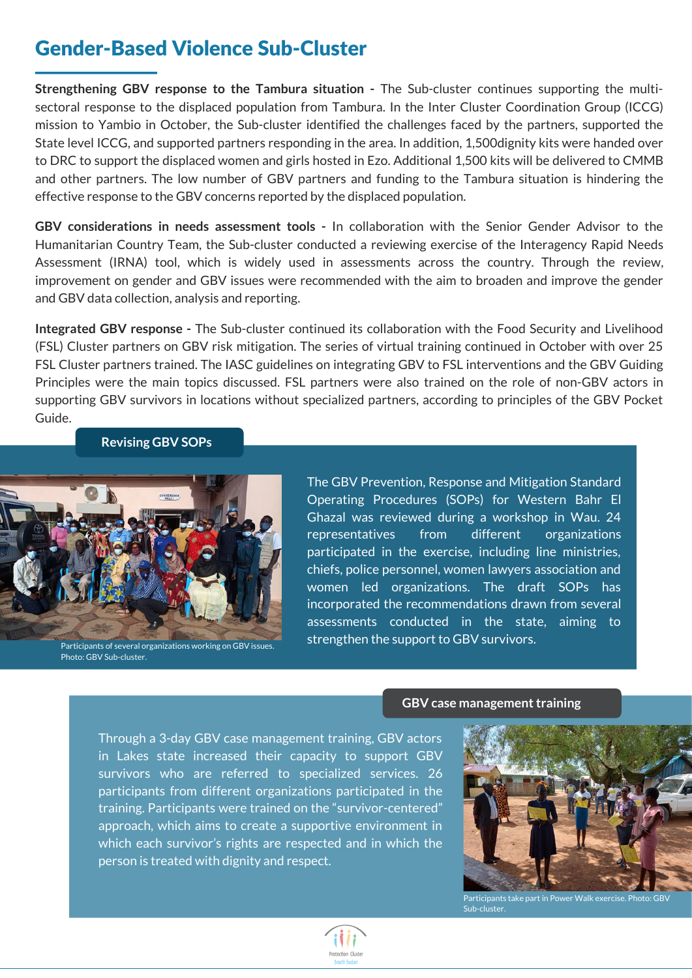### Gender-Based Violence Sub-Cluster

**Strengthening GBV response to the Tambura situation -** The Sub-cluster continues supporting the multisectoral response to the displaced population from Tambura. In the Inter Cluster Coordination Group (ICCG) mission to Yambio in October, the Sub-cluster identified the challenges faced by the partners, supported the State level ICCG, and supported partners responding in the area. In addition, 1,500dignity kits were handed over to DRC to support the displaced women and girls hosted in Ezo. Additional 1,500 kits will be delivered to CMMB and other partners. The low number of GBV partners and funding to the Tambura situation is hindering the effective response to the GBV concerns reported by the displaced population.

**GBV considerations in needs assessment tools -** In collaboration with the Senior Gender Advisor to the Humanitarian Country Team, the Sub-cluster conducted a reviewing exercise of the Interagency Rapid Needs Assessment (IRNA) tool, which is widely used in assessments across the country. Through the review, improvement on gender and GBV issues were recommended with the aim to broaden and improve the gender and GBV data collection, analysis and reporting.

**Integrated GBV response -** The Sub-cluster continued its collaboration with the Food Security and Livelihood (FSL) Cluster partners on GBV risk mitigation. The series of virtual training continued in October with over 25 FSL Cluster partners trained. The IASC guidelines on integrating GBV to FSL interventions and the GBV Guiding Principles were the main topics discussed. FSL partners were also trained on the role of non-GBV actors in supporting GBV survivors in locations without specialized partners, according to principles of the GBV Pocket Guide.

#### **Revising GBV SOPs**



Photo: GBV Sub-cluster.

The GBV Prevention, Response and Mitigation Standard Operating Procedures (SOPs) for Western Bahr El Ghazal was reviewed during a workshop in Wau. 24 representatives from different organizations participated in the exercise, including line ministries, chiefs, police personnel, women lawyers association and women led organizations. The draft SOPs has incorporated the recommendations drawn from several assessments conducted in the state, aiming to strengthen the support to GBV survivors.

#### **GBV** case management training

Through a 3-day GBV case management training, GBV actors in Lakes state increased their capacity to support GBV survivors who are referred to specialized services. 26 participants from different organizations participated in the training. Participants were trained on the ["survivor-centered"](https://data.globalprotectioncluster.org/en/documents/details/534) approach, which aims to create a supportive environment in which each survivor's rights are respected and in which the person is treated with dignity and respect.



Participants take part in Power Walk exercise. Photo: GBV Sub-cluster.

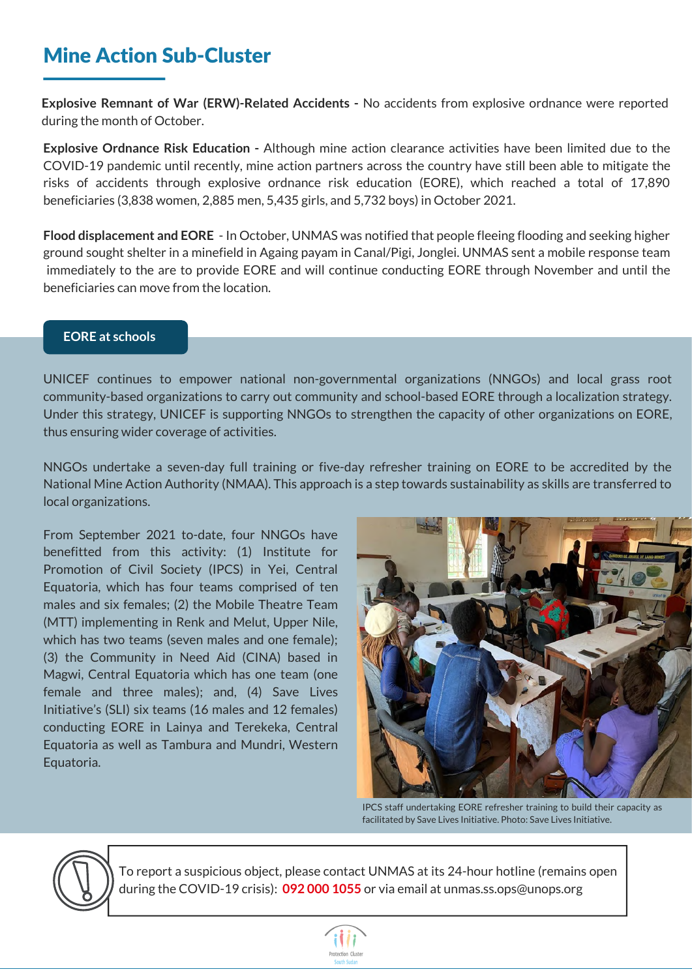### Mine Action Sub-Cluster

**Explosive Remnant of War (ERW)-Related Accidents -** No accidents from explosive ordnance were reported during the month of October.

**Explosive Ordnance Risk Education -** Although mine action clearance activities have been limited due to the COVID-19 pandemic until recently, mine action partners across the country have still been able to mitigate the risks of accidents through explosive ordnance risk education (EORE), which reached a total of 17,890 beneficiaries (3,838 women, 2,885 men, 5,435 girls, and 5,732 boys) in October 2021.

**Flood displacement and EORE** - In October, UNMAS was notified that people fleeing flooding and seeking higher ground sought shelter in a minefield in Againg payam in Canal/Pigi, Jonglei. UNMAS sent a mobile response team immediately to the are to provide EORE and will continue conducting EORE through November and until the beneficiaries can move from the location.

#### **EORE at schools**

UNICEF continues to empower national non-governmental organizations (NNGOs) and local grass root community-based organizations to carry out community and school-based EORE through a localization strategy. Under this strategy, UNICEF is supporting NNGOs to strengthen the capacity of other organizations on EORE, thus ensuring wider coverage of activities.

NNGOs undertake a seven-day full training or five-day refresher training on EORE to be accredited by the National Mine Action Authority (NMAA). This approach is a step towards sustainability as skills are transferred to local organizations.

From September 2021 to-date, four NNGOs have benefitted from this activity: (1) Institute for Promotion of Civil Society (IPCS) in Yei, Central Equatoria, which has four teams comprised of ten males and six females; (2) the Mobile Theatre Team (MTT) implementing in Renk and Melut, Upper Nile, which has two teams (seven males and one female); (3) the Community in Need Aid (CINA) based in Magwi, Central Equatoria which has one team (one female and three males); and, (4) Save Lives Initiative's (SLI) six teams (16 males and 12 females) conducting EORE in Lainya and Terekeka, Central Equatoria as well as Tambura and Mundri, Western Equatoria.



IPCS staff undertaking EORE refresher training to build their capacity as facilitated by Save Lives Initiative. Photo: Save Lives Initiative.

To report a suspicious object, please contact UNMAS at its 24-hour hotline (remains open during the COVID-19 crisis): **092 000 1055** or via email at unmas.ss.ops@unops.org

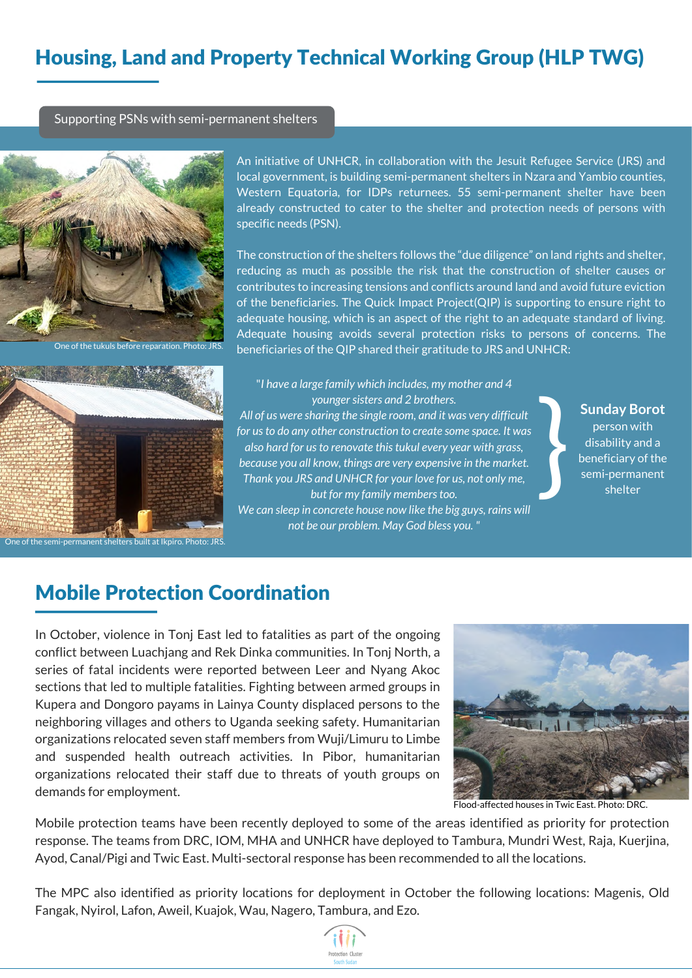## Housing, Land and Property Technical Working Group (HLP TWG)

Supporting PSNs with semi-permanent shelters



One of the tukuls before reparation. Photo: JRS.



of the semi-permanent shelters built at Ikpiro. Photo: JRS

An initiative of UNHCR, in collaboration with the Jesuit Refugee Service (JRS) and local government, is building semi-permanent shelters in Nzara and Yambio counties, Western Equatoria, for IDPs returnees. 55 semi-permanent shelter have been already constructed to cater to the shelter and protection needs of persons with specific needs (PSN).

The construction of the shelters follows the "due diligence" on land rights and shelter, reducing as much as possible the risk that the construction of shelter causes or contributes to increasing tensions and conflicts around land and avoid future eviction of the beneficiaries. The Quick Impact Project(QIP) is supporting to ensure right to adequate housing, which is an aspect of the right to an adequate standard of living. Adequate housing avoids several protection risks to persons of concerns. The beneficiaries of the QIP shared their gratitude to JRS and UNHCR:

"*I have a large family which includes, my mother and 4 younger sisters and 2 brothers. All of us were sharing the single room, and it was very difficult for usto do any other construction to create some space. It was also hard for usto renovate thistukul every year with grass, because you all know, things are very expensive in the market. Thank you JRS and UNHCR for your love for us, not only me, but* for *my family members too. We can sleep in concrete house now like the big guys, rains will not be our problem. May God bless you. "*

**Sunday Borot**

person with disability and a beneficiary of the Sunday Borot<br>
person with<br>
disability and a<br>
beneficiary of the<br>
semi-permanent<br>
shelter

### Mobile Protection Coordination

In October, violence in Tonj East led to fatalities as part of the ongoing conflict between Luachjang and Rek Dinka communities. In Tonj North, a series of fatal incidents were reported between Leer and Nyang Akoc sections that led to multiple fatalities. Fighting between armed groups in Kupera and Dongoro payams in Lainya County displaced persons to the neighboring villages and others to Uganda seeking safety. Humanitarian organizations relocated seven staff members from Wuji/Limuru to Limbe and suspended health outreach activities. In Pibor, humanitarian organizations relocated their staff due to threats of youth groups on demands for employment.



Flood-affected houses in Twic East. Photo: DRC.

Mobile protection teams have been recently deployed to some of the areas identified as priority for protection response. The teams from DRC, IOM, MHA and UNHCR have deployed to Tambura, Mundri West, Raja, Kuerjina, Ayod, Canal/Pigi and Twic East. Multi-sectoral response has been recommended to all the locations.

The MPC also identified as priority locations for deployment in October the following locations: Magenis, Old Fangak, Nyirol, Lafon, Aweil, Kuajok, Wau, Nagero, Tambura, and Ezo.